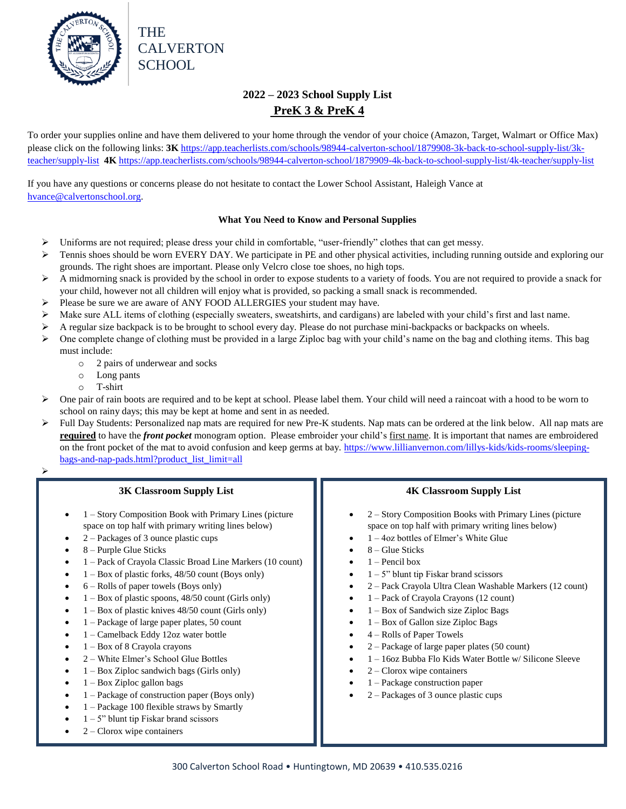

## **2022 – 2023 School Supply List PreK 3 & PreK 4**

To order your supplies online and have them delivered to your home through the vendor of your choice (Amazon, Target, Walmart or Office Max) please click on the following links: 3K [https://app.teacherlists.com/schools/98944-calverton-school/1879908-3k-back-to-school-supply-list/3k](https://app.teacherlists.com/schools/98944-calverton-school/1879908-3k-back-to-school-supply-list/3k-teacher/supply-list)[teacher/supply-list](https://app.teacherlists.com/schools/98944-calverton-school/1879908-3k-back-to-school-supply-list/3k-teacher/supply-list) **4K** <https://app.teacherlists.com/schools/98944-calverton-school/1879909-4k-back-to-school-supply-list/4k-teacher/supply-list>

If you have any questions or concerns please do not hesitate to contact the Lower School Assistant, Haleigh Vance at [hvance@calvertonschool.org.](mailto:hvance@calvertonschool.org)

#### **What You Need to Know and Personal Supplies**

- $\triangleright$  Uniforms are not required; please dress your child in comfortable, "user-friendly" clothes that can get messy.
- $\triangleright$  Tennis shoes should be worn EVERY DAY. We participate in PE and other physical activities, including running outside and exploring our grounds. The right shoes are important. Please only Velcro close toe shoes, no high tops.
- $\triangleright$  A midmorning snack is provided by the school in order to expose students to a variety of foods. You are not required to provide a snack for your child, however not all children will enjoy what is provided, so packing a small snack is recommended.
- Please be sure we are aware of ANY FOOD ALLERGIES your student may have.
- $\triangleright$  Make sure ALL items of clothing (especially sweaters, sweatshirts, and cardigans) are labeled with your child's first and last name.
- A regular size backpack is to be brought to school every day. Please do not purchase mini-backpacks or backpacks on wheels.
- $\triangleright$  One complete change of clothing must be provided in a large Ziploc bag with your child's name on the bag and clothing items. This bag must include:
	- o 2 pairs of underwear and socks
	- o Long pants
	- o T-shirt
- One pair of rain boots are required and to be kept at school. Please label them. Your child will need a raincoat with a hood to be worn to school on rainy days; this may be kept at home and sent in as needed.
- $\triangleright$  Full Day Students: Personalized nap mats are required for new Pre-K students. Nap mats can be ordered at the link below. All nap mats are **required** to have the *front pocket* monogram option. Please embroider your child's first name. It is important that names are embroidered on the front pocket of the mat to avoid confusion and keep germs at bay. [https://www.lillianvernon.com/lillys-kids/kids-rooms/sleeping](https://www.lillianvernon.com/lillys-kids/kids-rooms/sleeping-bags-and-nap-pads.html?product_list_limit=all)[bags-and-nap-pads.html?product\\_list\\_limit=all](https://www.lillianvernon.com/lillys-kids/kids-rooms/sleeping-bags-and-nap-pads.html?product_list_limit=all)
- $\triangleright$ e de

### **3K Classroom Supply List**

- 1 Story Composition Book with Primary Lines (picture space on top half with primary writing lines below)
- 2 Packages of 3 ounce plastic cups
- 8 Purple Glue Sticks
- 1 Pack of Crayola Classic Broad Line Markers (10 count)
- 1 Box of plastic forks, 48/50 count (Boys only)
- 6 Rolls of paper towels (Boys only)
- 1 Box of plastic spoons, 48/50 count (Girls only)
- 1 Box of plastic knives 48/50 count (Girls only)
- 1 Package of large paper plates, 50 count
- 1 Camelback Eddy 12oz water bottle
- 1 Box of 8 Crayola crayons
- 2 White Elmer's School Glue Bottles
- 1 Box Ziploc sandwich bags (Girls only)
- 1 Box Ziploc gallon bags
- 1 Package of construction paper (Boys only)
- 1 Package 100 flexible straws by Smartly
- 1 5" blunt tip Fiskar brand scissors
- 2 Clorox wipe containers

### **4K Classroom Supply List**

- 2 Story Composition Books with Primary Lines (picture space on top half with primary writing lines below)
- 1 4oz bottles of Elmer's White Glue
- 8 Glue Sticks
- 1 Pencil box
- 1 5" blunt tip Fiskar brand scissors
- 2 Pack Crayola Ultra Clean Washable Markers (12 count)
- 1 Pack of Crayola Crayons (12 count)
- $\bullet$  1 Box of Sandwich size Ziploc Bags
- 1 Box of Gallon size Ziploc Bags
- 4 Rolls of Paper Towels
- 2 Package of large paper plates (50 count)
- 1 16oz Bubba Flo Kids Water Bottle w/ Silicone Sleeve
- 2 Clorox wipe containers
- 1 Package construction paper
- 2 Packages of 3 ounce plastic cups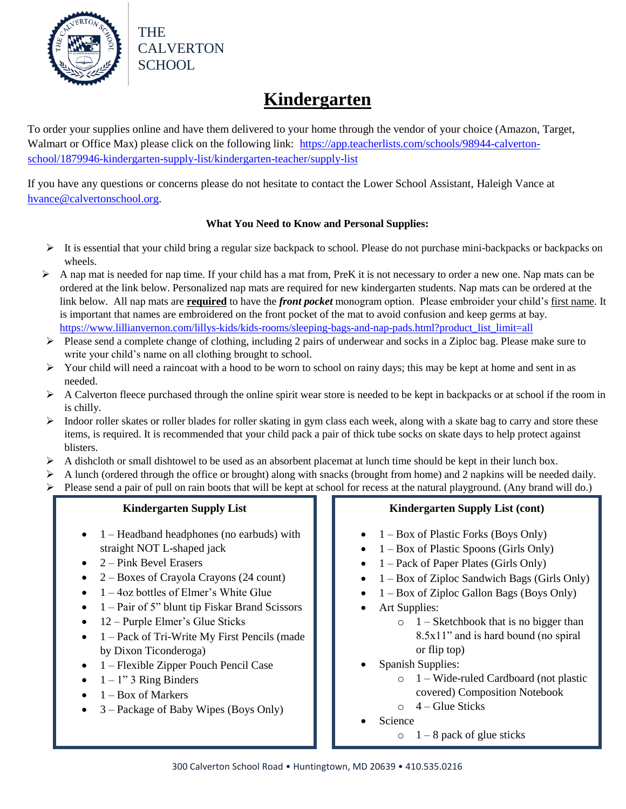

## **Kindergarten**

To order your supplies online and have them delivered to your home through the vendor of your choice (Amazon, Target, Walmart or Office Max) please click on the following link: [https://app.teacherlists.com/schools/98944-calverton](https://app.teacherlists.com/schools/98944-calverton-school/1879946-kindergarten-supply-list/kindergarten-teacher/supply-list)[school/1879946-kindergarten-supply-list/kindergarten-teacher/supply-list](https://app.teacherlists.com/schools/98944-calverton-school/1879946-kindergarten-supply-list/kindergarten-teacher/supply-list)

If you have any questions or concerns please do not hesitate to contact the Lower School Assistant, Haleigh Vance at [hvance@calvertonschool.org.](mailto:hvance@calvertonschool.org)

### **What You Need to Know and Personal Supplies:**

- $\triangleright$  It is essential that your child bring a regular size backpack to school. Please do not purchase mini-backpacks or backpacks on wheels.
- $\triangleright$  A nap mat is needed for nap time. If your child has a mat from, PreK it is not necessary to order a new one. Nap mats can be ordered at the link below. Personalized nap mats are required for new kindergarten students. Nap mats can be ordered at the link below. All nap mats are **required** to have the *front pocket* monogram option. Please embroider your child's first name. It is important that names are embroidered on the front pocket of the mat to avoid confusion and keep germs at bay. [https://www.lillianvernon.com/lillys-kids/kids-rooms/sleeping-bags-and-nap-pads.html?product\\_list\\_limit=all](https://www.lillianvernon.com/lillys-kids/kids-rooms/sleeping-bags-and-nap-pads.html?product_list_limit=all)
- Please send a complete change of clothing, including 2 pairs of underwear and socks in a Ziploc bag. Please make sure to write your child's name on all clothing brought to school.
- $\triangleright$  Your child will need a raincoat with a hood to be worn to school on rainy days; this may be kept at home and sent in as needed.
- $\triangleright$  A Calverton fleece purchased through the online spirit wear store is needed to be kept in backpacks or at school if the room in is chilly.
- $\triangleright$  Indoor roller skates or roller blades for roller skating in gym class each week, along with a skate bag to carry and store these items, is required. It is recommended that your child pack a pair of thick tube socks on skate days to help protect against blisters.
- $\triangleright$  A dishcloth or small dishtowel to be used as an absorbent placemat at lunch time should be kept in their lunch box.
- $\triangleright$  A lunch (ordered through the office or brought) along with snacks (brought from home) and 2 napkins will be needed daily. Please send a pair of pull on rain boots that will be kept at school for recess at the natural playground. (Any brand will do.)

## **Kindergarten Supply List**

- $\bullet$  1 Headband headphones (no earbuds) with straight NOT L-shaped jack
- 2 Pink Bevel Erasers
- 2 Boxes of Crayola Crayons (24 count)
- $\bullet$  1 4oz bottles of Elmer's White Glue
- 1 Pair of 5" blunt tip Fiskar Brand Scissors
- $\bullet$  12 Purple Elmer's Glue Sticks
- $\bullet$  1 Pack of Tri-Write My First Pencils (made by Dixon Ticonderoga)
- 1 Flexible Zipper Pouch Pencil Case
- $\bullet$  1 1" 3 Ring Binders
- $\bullet$  1 Box of Markers
- 3 Package of Baby Wipes (Boys Only)

## **Kindergarten Supply List (cont)**

- $\bullet$  1 Box of Plastic Forks (Boys Only)
- $\bullet$  1 Box of Plastic Spoons (Girls Only)
- $\bullet$  1 Pack of Paper Plates (Girls Only)
- $\bullet$  1 Box of Ziploc Sandwich Bags (Girls Only)
- $\bullet$  1 Box of Ziploc Gallon Bags (Boys Only)
- Art Supplies:
	- $\circ$  1 Sketchbook that is no bigger than 8.5x11" and is hard bound (no spiral or flip top)
- Spanish Supplies:
	- o 1 Wide-ruled Cardboard (not plastic covered) Composition Notebook
	- $\circ$  4 Glue Sticks
- Science
	- $\circ$  1 8 pack of glue sticks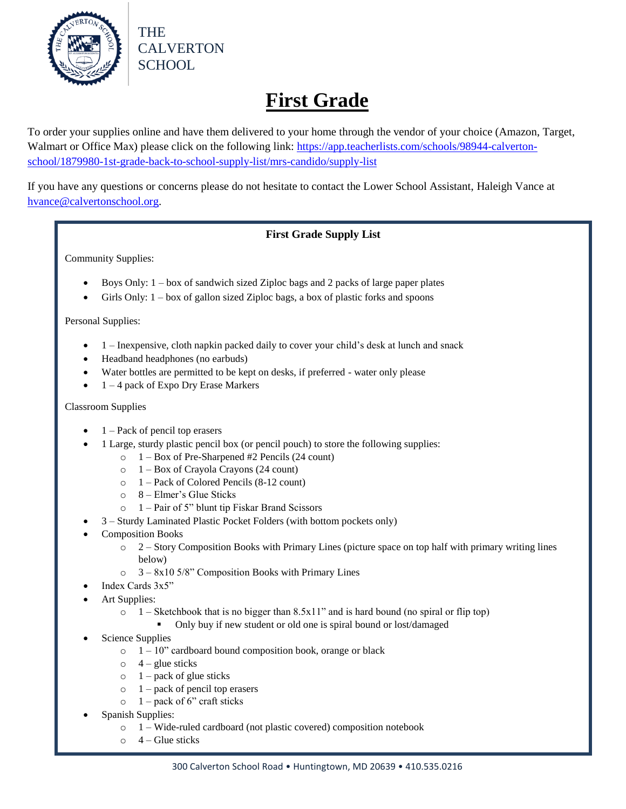

# **First Grade**

To order your supplies online and have them delivered to your home through the vendor of your choice (Amazon, Target, Walmart or Office Max) please click on the following link: [https://app.teacherlists.com/schools/98944-calverton](https://app.teacherlists.com/schools/98944-calverton-school/1879980-1st-grade-back-to-school-supply-list/mrs-candido/supply-list)[school/1879980-1st-grade-back-to-school-supply-list/mrs-candido/supply-list](https://app.teacherlists.com/schools/98944-calverton-school/1879980-1st-grade-back-to-school-supply-list/mrs-candido/supply-list)

If you have any questions or concerns please do not hesitate to contact the Lower School Assistant, Haleigh Vance at [hvance@calvertonschool.org.](mailto:hvance@calvertonschool.org)

### **First Grade Supply List**

Community Supplies:

- Boys Only:  $1 box$  of sandwich sized Ziploc bags and 2 packs of large paper plates
- Girls Only: 1 box of gallon sized Ziploc bags, a box of plastic forks and spoons

Personal Supplies:

- 1 Inexpensive, cloth napkin packed daily to cover your child's desk at lunch and snack
- Headband headphones (no earbuds)
- Water bottles are permitted to be kept on desks, if preferred water only please
- 1 4 pack of Expo Dry Erase Markers

Classroom Supplies

- 1 Pack of pencil top erasers
- 1 Large, sturdy plastic pencil box (or pencil pouch) to store the following supplies:
	- o 1 Box of Pre-Sharpened #2 Pencils (24 count)
	- o 1 Box of Crayola Crayons (24 count)
	- o 1 Pack of Colored Pencils (8-12 count)
	- $\circ$  8 Elmer's Glue Sticks
	- o 1 Pair of 5" blunt tip Fiskar Brand Scissors
	- 3 Sturdy Laminated Plastic Pocket Folders (with bottom pockets only)
- Composition Books
	- $\circ$  2 Story Composition Books with Primary Lines (picture space on top half with primary writing lines below)
	- o 3 8x10 5/8" Composition Books with Primary Lines
- Index Cards 3x5"
- Art Supplies:
	- $\circ$  1 Sketchbook that is no bigger than 8.5x11" and is hard bound (no spiral or flip top)
		- Only buy if new student or old one is spiral bound or lost/damaged
- Science Supplies
	- $\circ$  1 10" cardboard bound composition book, orange or black
	- $\circ$  4 glue sticks
	- $\circ$  1 pack of glue sticks
	- $\circ$  1 pack of pencil top erasers
	- $\circ$  1 pack of 6" craft sticks
- Spanish Supplies:
	- o 1 Wide-ruled cardboard (not plastic covered) composition notebook
	- $\circ$  4 Glue sticks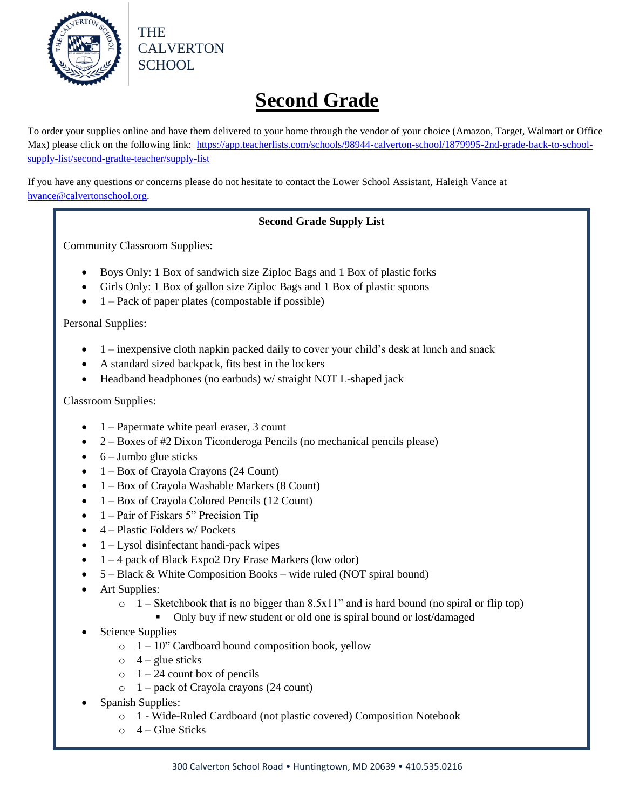

**Second Grade**

To order your supplies online and have them delivered to your home through the vendor of your choice (Amazon, Target, Walmart or Office Max) please click on the following link: [https://app.teacherlists.com/schools/98944-calverton-school/1879995-2nd-grade-back-to-school](https://app.teacherlists.com/schools/98944-calverton-school/1879995-2nd-grade-back-to-school-supply-list/second-gradte-teacher/supply-list)[supply-list/second-gradte-teacher/supply-list](https://app.teacherlists.com/schools/98944-calverton-school/1879995-2nd-grade-back-to-school-supply-list/second-gradte-teacher/supply-list)

If you have any questions or concerns please do not hesitate to contact the Lower School Assistant, Haleigh Vance at [hvance@calvertonschool.org.](mailto:hvance@calvertonschool.org)

### **Second Grade Supply List**

Community Classroom Supplies:

THE

CALVERTON

SCHOOL

- Boys Only: 1 Box of sandwich size Ziploc Bags and 1 Box of plastic forks
- Girls Only: 1 Box of gallon size Ziploc Bags and 1 Box of plastic spoons
- $\bullet$  1 Pack of paper plates (compostable if possible)

Personal Supplies:

- $\bullet$  1 inexpensive cloth napkin packed daily to cover your child's desk at lunch and snack
- A standard sized backpack, fits best in the lockers
- Headband headphones (no earbuds) w/ straight NOT L-shaped jack

Classroom Supplies:

- $\bullet$  1 Papermate white pearl eraser, 3 count
- 2 Boxes of #2 Dixon Ticonderoga Pencils (no mechanical pencils please)
- $\bullet$  6 Jumbo glue sticks
- 1 Box of Crayola Crayons (24 Count)
- 1 Box of Crayola Washable Markers (8 Count)
- 1 Box of Crayola Colored Pencils (12 Count)
- $\bullet$  1 Pair of Fiskars 5" Precision Tip
- $\bullet$  4 Plastic Folders w/ Pockets
- $\bullet$  1 Lysol disinfectant handi-pack wipes
- 1 4 pack of Black Expo2 Dry Erase Markers (low odor)
- 5 Black & White Composition Books wide ruled (NOT spiral bound)
- Art Supplies:
	- $\circ$  1 Sketchbook that is no bigger than 8.5x11" and is hard bound (no spiral or flip top)
		- Only buy if new student or old one is spiral bound or lost/damaged
- Science Supplies
	- $\circ$  1 10" Cardboard bound composition book, yellow
	- $\circ$  4 glue sticks
	- $\circ$  1 24 count box of pencils
	- o 1 pack of Crayola crayons (24 count)
- Spanish Supplies:
	- o 1 Wide-Ruled Cardboard (not plastic covered) Composition Notebook
	- $\circ$  4 Glue Sticks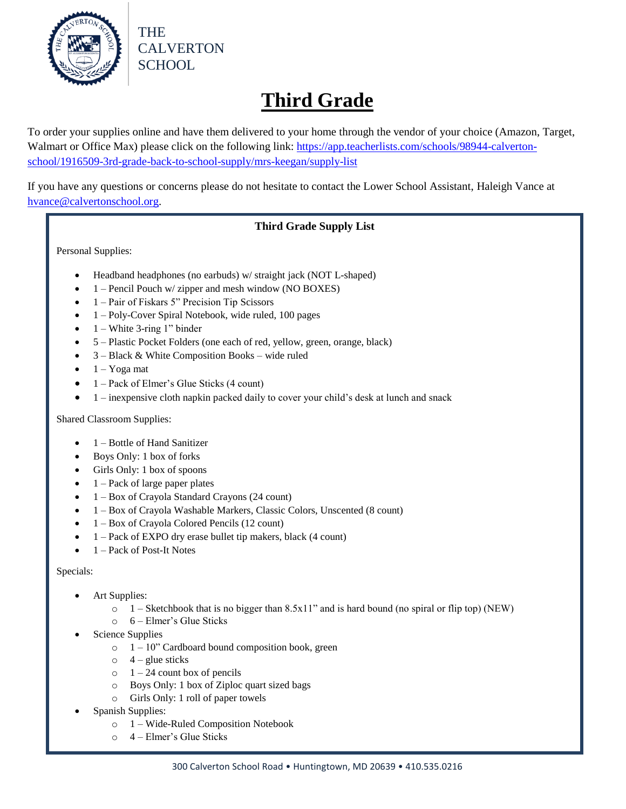

# **Third Grade**

To order your supplies online and have them delivered to your home through the vendor of your choice (Amazon, Target, Walmart or Office Max) please click on the following link: [https://app.teacherlists.com/schools/98944-calverton](https://app.teacherlists.com/schools/98944-calverton-school/1916509-3rd-grade-back-to-school-supply/mrs-keegan/supply-list)[school/1916509-3rd-grade-back-to-school-supply/mrs-keegan/supply-list](https://app.teacherlists.com/schools/98944-calverton-school/1916509-3rd-grade-back-to-school-supply/mrs-keegan/supply-list)

If you have any questions or concerns please do not hesitate to contact the Lower School Assistant, Haleigh Vance at [hvance@calvertonschool.org.](mailto:hvance@calvertonschool.org)

## **Third Grade Supply List**

Personal Supplies:

- Headband headphones (no earbuds) w/ straight jack (NOT L-shaped)
- 1 Pencil Pouch w/ zipper and mesh window (NO BOXES)
- 1 Pair of Fiskars 5" Precision Tip Scissors
- 1 Poly-Cover Spiral Notebook, wide ruled, 100 pages
- 1 White 3-ring 1" binder
- 5 Plastic Pocket Folders (one each of red, yellow, green, orange, black)
- 3 Black & White Composition Books wide ruled
- $\bullet$  1 Yoga mat
- $\bullet$  1 Pack of Elmer's Glue Sticks (4 count)
- $\bullet$  1 inexpensive cloth napkin packed daily to cover your child's desk at lunch and snack

Shared Classroom Supplies:

- 1 Bottle of Hand Sanitizer
- Boys Only: 1 box of forks
- Girls Only: 1 box of spoons
- 1 Pack of large paper plates
- 1 Box of Crayola Standard Crayons (24 count)
- 1 Box of Crayola Washable Markers, Classic Colors, Unscented (8 count)
- 1 Box of Crayola Colored Pencils (12 count)
- 1 Pack of EXPO dry erase bullet tip makers, black (4 count)
- $\bullet$  1 Pack of Post-It Notes

### Specials:

- Art Supplies:
	- $\circ$  1 Sketchbook that is no bigger than 8.5x11" and is hard bound (no spiral or flip top) (NEW)
	- o 6 Elmer's Glue Sticks
- Science Supplies
	- $\circ$  1 10" Cardboard bound composition book, green
	- $\circ$  4 glue sticks
	- $\circ$  1 24 count box of pencils
	- o Boys Only: 1 box of Ziploc quart sized bags
	- o Girls Only: 1 roll of paper towels
- Spanish Supplies:
	- o 1 Wide-Ruled Composition Notebook
	- o 4 Elmer's Glue Sticks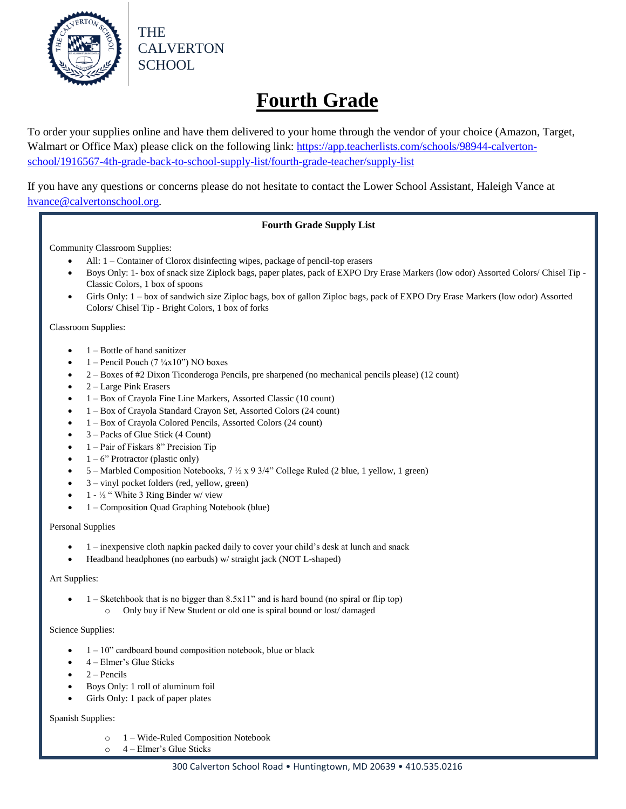

# **Fourth Grade**

To order your supplies online and have them delivered to your home through the vendor of your choice (Amazon, Target, Walmart or Office Max) please click on the following link: [https://app.teacherlists.com/schools/98944-calverton](https://app.teacherlists.com/schools/98944-calverton-school/1916567-4th-grade-back-to-school-supply-list/fourth-grade-teacher/supply-list)[school/1916567-4th-grade-back-to-school-supply-list/fourth-grade-teacher/supply-list](https://app.teacherlists.com/schools/98944-calverton-school/1916567-4th-grade-back-to-school-supply-list/fourth-grade-teacher/supply-list)

If you have any questions or concerns please do not hesitate to contact the Lower School Assistant, Haleigh Vance at [hvance@calvertonschool.org.](mailto:hvance@calvertonschool.org)

### **Fourth Grade Supply List**

Community Classroom Supplies:

- All: 1 Container of Clorox disinfecting wipes, package of pencil-top erasers
- Boys Only: 1- box of snack size Ziplock bags, paper plates, pack of EXPO Dry Erase Markers (low odor) Assorted Colors/ Chisel Tip Classic Colors, 1 box of spoons
- Girls Only: 1 box of sandwich size Ziploc bags, box of gallon Ziploc bags, pack of EXPO Dry Erase Markers (low odor) Assorted Colors/ Chisel Tip - Bright Colors, 1 box of forks

Classroom Supplies:

- 1 Bottle of hand sanitizer
- 1 Pencil Pouch (7  $\frac{1}{4}$ x10") NO boxes
- 2 Boxes of #2 Dixon Ticonderoga Pencils, pre sharpened (no mechanical pencils please) (12 count)
- 2 Large Pink Erasers
- 1 Box of Crayola Fine Line Markers, Assorted Classic (10 count)
- 1 Box of Crayola Standard Crayon Set, Assorted Colors (24 count)
- 1 Box of Crayola Colored Pencils, Assorted Colors (24 count)
- 3 Packs of Glue Stick (4 Count)
- 1 Pair of Fiskars 8" Precision Tip
- $1 6$ " Protractor (plastic only)
- 5 Marbled Composition Notebooks, 7 ½ x 9 3/4" College Ruled (2 blue, 1 yellow, 1 green)
- 3 vinyl pocket folders (red, yellow, green)
- 1 ½ " White 3 Ring Binder w/ view
- 1 Composition Quad Graphing Notebook (blue)

Personal Supplies

- 1 inexpensive cloth napkin packed daily to cover your child's desk at lunch and snack
- Headband headphones (no earbuds) w/ straight jack (NOT L-shaped)

#### Art Supplies:

- 1 Sketchbook that is no bigger than 8.5x11" and is hard bound (no spiral or flip top)
	- o Only buy if New Student or old one is spiral bound or lost/ damaged

#### Science Supplies:

- 1 10" cardboard bound composition notebook, blue or black
- 4 Elmer's Glue Sticks
- 2 Pencils
- Boys Only: 1 roll of aluminum foil
- Girls Only: 1 pack of paper plates

#### Spanish Supplies:

- o 1 Wide-Ruled Composition Notebook
- o 4 Elmer's Glue Sticks